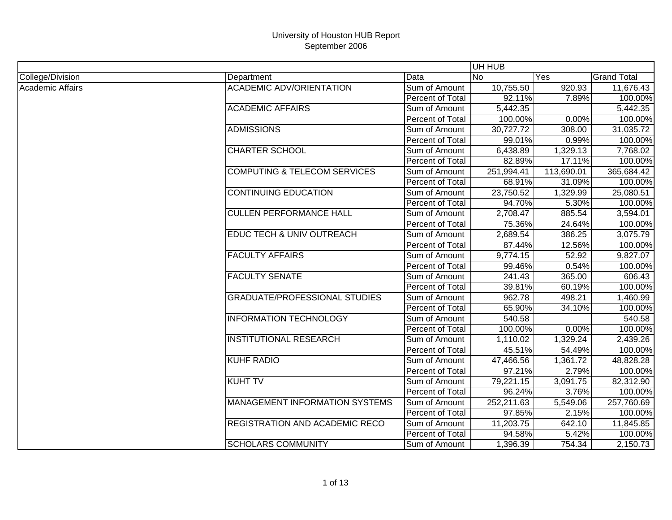|                         |                                         |                  | UH HUB     |            |                    |
|-------------------------|-----------------------------------------|------------------|------------|------------|--------------------|
| College/Division        | Department                              | Data             | <b>No</b>  | Yes        | <b>Grand Total</b> |
| <b>Academic Affairs</b> | <b>ACADEMIC ADV/ORIENTATION</b>         | Sum of Amount    | 10,755.50  | 920.93     | 11,676.43          |
|                         |                                         | Percent of Total | 92.11%     | 7.89%      | 100.00%            |
|                         | <b>ACADEMIC AFFAIRS</b>                 | Sum of Amount    | 5,442.35   |            | 5,442.35           |
|                         |                                         | Percent of Total | 100.00%    | 0.00%      | 100.00%            |
|                         | <b>ADMISSIONS</b>                       | Sum of Amount    | 30,727.72  | 308.00     | 31,035.72          |
|                         |                                         | Percent of Total | 99.01%     | 0.99%      | 100.00%            |
|                         | <b>CHARTER SCHOOL</b>                   | Sum of Amount    | 6,438.89   | 1,329.13   | 7,768.02           |
|                         |                                         | Percent of Total | 82.89%     | 17.11%     | 100.00%            |
|                         | <b>COMPUTING &amp; TELECOM SERVICES</b> | Sum of Amount    | 251,994.41 | 113,690.01 | 365,684.42         |
|                         |                                         | Percent of Total | 68.91%     | 31.09%     | 100.00%            |
|                         | CONTINUING EDUCATION                    | Sum of Amount    | 23,750.52  | 1,329.99   | 25,080.51          |
|                         |                                         | Percent of Total | 94.70%     | 5.30%      | 100.00%            |
|                         | <b>CULLEN PERFORMANCE HALL</b>          | Sum of Amount    | 2,708.47   | 885.54     | 3,594.01           |
|                         |                                         | Percent of Total | 75.36%     | 24.64%     | 100.00%            |
|                         | EDUC TECH & UNIV OUTREACH               | Sum of Amount    | 2,689.54   | 386.25     | 3,075.79           |
|                         |                                         | Percent of Total | 87.44%     | 12.56%     | 100.00%            |
|                         | <b>FACULTY AFFAIRS</b>                  | Sum of Amount    | 9,774.15   | 52.92      | 9,827.07           |
|                         |                                         | Percent of Total | 99.46%     | 0.54%      | 100.00%            |
|                         | <b>FACULTY SENATE</b>                   | Sum of Amount    | 241.43     | 365.00     | 606.43             |
|                         |                                         | Percent of Total | 39.81%     | 60.19%     | 100.00%            |
|                         | <b>GRADUATE/PROFESSIONAL STUDIES</b>    | Sum of Amount    | 962.78     | 498.21     | 1,460.99           |
|                         |                                         | Percent of Total | 65.90%     | 34.10%     | 100.00%            |
|                         | <b>INFORMATION TECHNOLOGY</b>           | Sum of Amount    | 540.58     |            | 540.58             |
|                         |                                         | Percent of Total | 100.00%    | 0.00%      | 100.00%            |
|                         | <b>INSTITUTIONAL RESEARCH</b>           | Sum of Amount    | 1,110.02   | 1,329.24   | 2,439.26           |
|                         |                                         | Percent of Total | 45.51%     | 54.49%     | 100.00%            |
|                         | <b>KUHF RADIO</b>                       | Sum of Amount    | 47,466.56  | 1,361.72   | 48,828.28          |
|                         |                                         | Percent of Total | 97.21%     | 2.79%      | 100.00%            |
|                         | <b>KUHT TV</b>                          | Sum of Amount    | 79,221.15  | 3,091.75   | 82,312.90          |
|                         |                                         | Percent of Total | 96.24%     | 3.76%      | 100.00%            |
|                         | MANAGEMENT INFORMATION SYSTEMS          | Sum of Amount    | 252,211.63 | 5,549.06   | 257,760.69         |
|                         |                                         | Percent of Total | 97.85%     | 2.15%      | 100.00%            |
|                         | <b>REGISTRATION AND ACADEMIC RECO</b>   | Sum of Amount    | 11,203.75  | 642.10     | 11,845.85          |
|                         |                                         | Percent of Total | 94.58%     | 5.42%      | 100.00%            |
|                         | <b>SCHOLARS COMMUNITY</b>               | Sum of Amount    | 1,396.39   | 754.34     | 2,150.73           |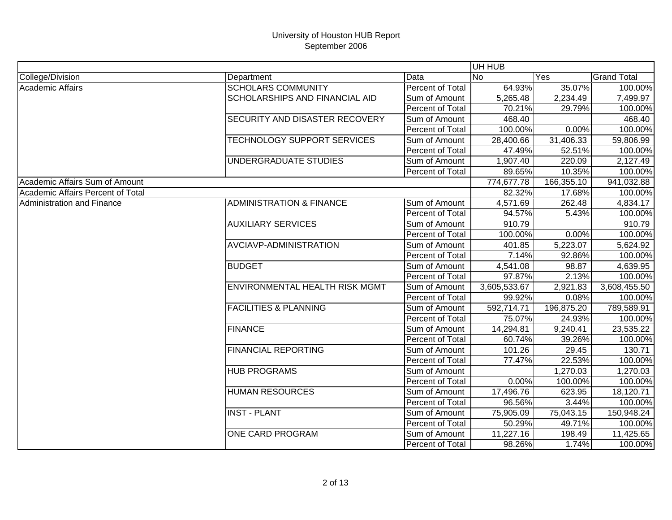|                                   |                                       |                  | UH HUB       |            |                    |
|-----------------------------------|---------------------------------------|------------------|--------------|------------|--------------------|
| College/Division                  | Department                            | Data             | <b>No</b>    | <b>Yes</b> | <b>Grand Total</b> |
| Academic Affairs                  | <b>SCHOLARS COMMUNITY</b>             | Percent of Total | 64.93%       | 35.07%     | 100.00%            |
|                                   | <b>SCHOLARSHIPS AND FINANCIAL AID</b> | Sum of Amount    | 5,265.48     | 2,234.49   | 7,499.97           |
|                                   |                                       | Percent of Total | 70.21%       | 29.79%     | 100.00%            |
|                                   | SECURITY AND DISASTER RECOVERY        | Sum of Amount    | 468.40       |            | 468.40             |
|                                   |                                       | Percent of Total | 100.00%      | 0.00%      | 100.00%            |
|                                   | <b>TECHNOLOGY SUPPORT SERVICES</b>    | Sum of Amount    | 28,400.66    | 31,406.33  | 59,806.99          |
|                                   |                                       | Percent of Total | 47.49%       | 52.51%     | 100.00%            |
|                                   | UNDERGRADUATE STUDIES                 | Sum of Amount    | 1,907.40     | 220.09     | 2,127.49           |
|                                   |                                       | Percent of Total | 89.65%       | 10.35%     | 100.00%            |
| Academic Affairs Sum of Amount    |                                       |                  | 774,677.78   | 166,355.10 | 941,032.88         |
| Academic Affairs Percent of Total |                                       |                  | 82.32%       | 17.68%     | 100.00%            |
| Administration and Finance        | <b>ADMINISTRATION &amp; FINANCE</b>   | Sum of Amount    | 4,571.69     | 262.48     | 4,834.17           |
|                                   |                                       | Percent of Total | 94.57%       | 5.43%      | 100.00%            |
|                                   | <b>AUXILIARY SERVICES</b>             | Sum of Amount    | 910.79       |            | 910.79             |
|                                   |                                       | Percent of Total | 100.00%      | 0.00%      | 100.00%            |
|                                   | AVCIAVP-ADMINISTRATION                | Sum of Amount    | 401.85       | 5,223.07   | 5,624.92           |
|                                   |                                       | Percent of Total | 7.14%        | 92.86%     | 100.00%            |
|                                   | <b>BUDGET</b>                         | Sum of Amount    | 4,541.08     | 98.87      | 4,639.95           |
|                                   |                                       | Percent of Total | 97.87%       | 2.13%      | 100.00%            |
|                                   | ENVIRONMENTAL HEALTH RISK MGMT        | Sum of Amount    | 3,605,533.67 | 2,921.83   | 3,608,455.50       |
|                                   |                                       | Percent of Total | 99.92%       | 0.08%      | 100.00%            |
|                                   | <b>FACILITIES &amp; PLANNING</b>      | Sum of Amount    | 592,714.71   | 196,875.20 | 789,589.91         |
|                                   |                                       | Percent of Total | 75.07%       | 24.93%     | 100.00%            |
|                                   | <b>FINANCE</b>                        | Sum of Amount    | 14,294.81    | 9,240.41   | 23,535.22          |
|                                   |                                       | Percent of Total | 60.74%       | 39.26%     | 100.00%            |
|                                   | <b>FINANCIAL REPORTING</b>            | Sum of Amount    | 101.26       | 29.45      | 130.71             |
|                                   |                                       | Percent of Total | 77.47%       | 22.53%     | 100.00%            |
|                                   | <b>HUB PROGRAMS</b>                   | Sum of Amount    |              | 1,270.03   | 1,270.03           |
|                                   |                                       | Percent of Total | 0.00%        | 100.00%    | 100.00%            |
|                                   | <b>HUMAN RESOURCES</b>                | Sum of Amount    | 17,496.76    | 623.95     | 18,120.71          |
|                                   |                                       | Percent of Total | 96.56%       | 3.44%      | 100.00%            |
|                                   | <b>INST - PLANT</b>                   | Sum of Amount    | 75,905.09    | 75,043.15  | 150,948.24         |
|                                   |                                       | Percent of Total | 50.29%       | 49.71%     | 100.00%            |
|                                   | <b>ONE CARD PROGRAM</b>               | Sum of Amount    | 11,227.16    | 198.49     | 11,425.65          |
|                                   |                                       | Percent of Total | 98.26%       | 1.74%      | 100.00%            |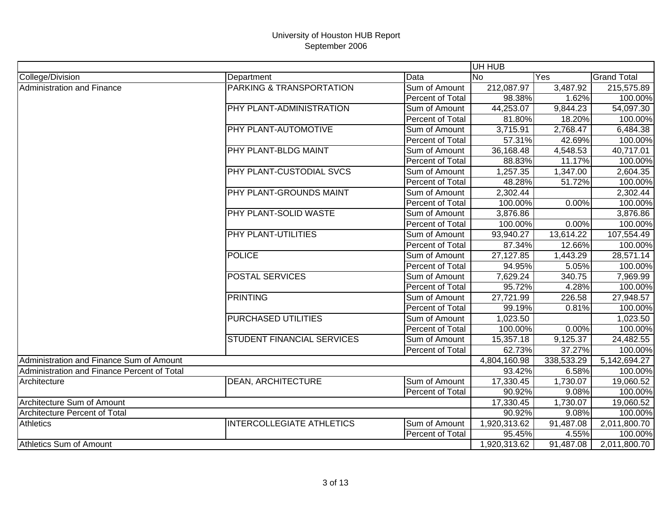|                                             |                                   |                  | UH HUB       |            |                    |
|---------------------------------------------|-----------------------------------|------------------|--------------|------------|--------------------|
| College/Division                            | Department                        | Data             | <b>No</b>    | Yes        | <b>Grand Total</b> |
| Administration and Finance                  | PARKING & TRANSPORTATION          | Sum of Amount    | 212,087.97   | 3,487.92   | 215,575.89         |
|                                             |                                   | Percent of Total | 98.38%       | 1.62%      | 100.00%            |
|                                             | PHY PLANT-ADMINISTRATION          | Sum of Amount    | 44,253.07    | 9,844.23   | 54,097.30          |
|                                             |                                   | Percent of Total | 81.80%       | 18.20%     | 100.00%            |
|                                             | PHY PLANT-AUTOMOTIVE              | Sum of Amount    | 3,715.91     | 2,768.47   | 6,484.38           |
|                                             |                                   | Percent of Total | 57.31%       | 42.69%     | 100.00%            |
|                                             | PHY PLANT-BLDG MAINT              | Sum of Amount    | 36,168.48    | 4,548.53   | 40,717.01          |
|                                             |                                   | Percent of Total | 88.83%       | 11.17%     | 100.00%            |
|                                             | PHY PLANT-CUSTODIAL SVCS          | Sum of Amount    | 1,257.35     | 1,347.00   | 2,604.35           |
|                                             |                                   | Percent of Total | 48.28%       | 51.72%     | 100.00%            |
|                                             | PHY PLANT-GROUNDS MAINT           | Sum of Amount    | 2,302.44     |            | 2,302.44           |
|                                             |                                   | Percent of Total | 100.00%      | 0.00%      | 100.00%            |
|                                             | PHY PLANT-SOLID WASTE             | Sum of Amount    | 3,876.86     |            | 3,876.86           |
|                                             |                                   | Percent of Total | 100.00%      | 0.00%      | 100.00%            |
|                                             | PHY PLANT-UTILITIES               | Sum of Amount    | 93,940.27    | 13,614.22  | 107,554.49         |
|                                             |                                   | Percent of Total | 87.34%       | 12.66%     | 100.00%            |
|                                             | <b>POLICE</b>                     | Sum of Amount    | 27,127.85    | 1,443.29   | 28,571.14          |
|                                             |                                   | Percent of Total | 94.95%       | 5.05%      | 100.00%            |
|                                             | <b>POSTAL SERVICES</b>            | Sum of Amount    | 7,629.24     | 340.75     | 7,969.99           |
|                                             |                                   | Percent of Total | 95.72%       | 4.28%      | 100.00%            |
|                                             | <b>PRINTING</b>                   | Sum of Amount    | 27,721.99    | 226.58     | 27,948.57          |
|                                             |                                   | Percent of Total | 99.19%       | 0.81%      | 100.00%            |
|                                             | PURCHASED UTILITIES               | Sum of Amount    | 1,023.50     |            | 1,023.50           |
|                                             |                                   | Percent of Total | 100.00%      | 0.00%      | 100.00%            |
|                                             | <b>STUDENT FINANCIAL SERVICES</b> | Sum of Amount    | 15,357.18    | 9,125.37   | 24,482.55          |
|                                             |                                   | Percent of Total | 62.73%       | 37.27%     | 100.00%            |
| Administration and Finance Sum of Amount    |                                   |                  | 4,804,160.98 | 338,533.29 | 5,142,694.27       |
| Administration and Finance Percent of Total |                                   |                  | 93.42%       | 6.58%      | 100.00%            |
| Architecture                                | <b>DEAN, ARCHITECTURE</b>         | Sum of Amount    | 17,330.45    | 1,730.07   | 19,060.52          |
|                                             |                                   | Percent of Total | 90.92%       | 9.08%      | 100.00%            |
| Architecture Sum of Amount                  |                                   |                  | 17,330.45    | 1,730.07   | 19,060.52          |
| <b>Architecture Percent of Total</b>        |                                   |                  | 90.92%       | 9.08%      | 100.00%            |
| <b>Athletics</b>                            | <b>INTERCOLLEGIATE ATHLETICS</b>  | Sum of Amount    | 1,920,313.62 | 91,487.08  | 2,011,800.70       |
|                                             |                                   | Percent of Total | 95.45%       | 4.55%      | 100.00%            |
| Athletics Sum of Amount                     |                                   |                  | 1,920,313.62 | 91,487.08  | 2,011,800.70       |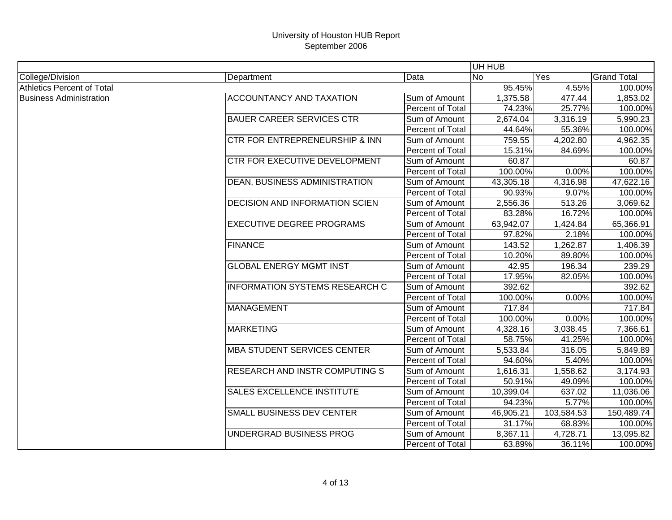|                                   |                                           |                         | UH HUB    |            |                    |
|-----------------------------------|-------------------------------------------|-------------------------|-----------|------------|--------------------|
| College/Division                  | Department                                | Data                    | <b>No</b> | Yes        | <b>Grand Total</b> |
| <b>Athletics Percent of Total</b> |                                           |                         | 95.45%    | 4.55%      | 100.00%            |
| <b>Business Administration</b>    | <b>ACCOUNTANCY AND TAXATION</b>           | Sum of Amount           | 1,375.58  | 477.44     | 1,853.02           |
|                                   |                                           | Percent of Total        | 74.23%    | 25.77%     | 100.00%            |
|                                   | <b>BAUER CAREER SERVICES CTR</b>          | Sum of Amount           | 2,674.04  | 3,316.19   | 5,990.23           |
|                                   |                                           | Percent of Total        | 44.64%    | 55.36%     | 100.00%            |
|                                   | <b>CTR FOR ENTREPRENEURSHIP &amp; INN</b> | Sum of Amount           | 759.55    | 4,202.80   | 4,962.35           |
|                                   |                                           | <b>Percent of Total</b> | 15.31%    | 84.69%     | 100.00%            |
|                                   | CTR FOR EXECUTIVE DEVELOPMENT             | Sum of Amount           | 60.87     |            | 60.87              |
|                                   |                                           | Percent of Total        | 100.00%   | 0.00%      | 100.00%            |
|                                   | DEAN, BUSINESS ADMINISTRATION             | Sum of Amount           | 43,305.18 | 4,316.98   | 47,622.16          |
|                                   |                                           | Percent of Total        | 90.93%    | 9.07%      | 100.00%            |
|                                   | DECISION AND INFORMATION SCIEN            | Sum of Amount           | 2,556.36  | 513.26     | 3,069.62           |
|                                   |                                           | Percent of Total        | 83.28%    | 16.72%     | 100.00%            |
|                                   | <b>EXECUTIVE DEGREE PROGRAMS</b>          | Sum of Amount           | 63,942.07 | 1,424.84   | 65,366.91          |
|                                   |                                           | Percent of Total        | 97.82%    | 2.18%      | 100.00%            |
|                                   | <b>FINANCE</b>                            | Sum of Amount           | 143.52    | 1,262.87   | 1,406.39           |
|                                   |                                           | Percent of Total        | 10.20%    | 89.80%     | 100.00%            |
|                                   | <b>GLOBAL ENERGY MGMT INST</b>            | Sum of Amount           | 42.95     | 196.34     | 239.29             |
|                                   |                                           | Percent of Total        | 17.95%    | 82.05%     | 100.00%            |
|                                   | <b>INFORMATION SYSTEMS RESEARCH C</b>     | Sum of Amount           | 392.62    |            | 392.62             |
|                                   |                                           | Percent of Total        | 100.00%   | 0.00%      | 100.00%            |
|                                   | <b>MANAGEMENT</b>                         | Sum of Amount           | 717.84    |            | 717.84             |
|                                   |                                           | Percent of Total        | 100.00%   | 0.00%      | 100.00%            |
|                                   | <b>MARKETING</b>                          | Sum of Amount           | 4,328.16  | 3,038.45   | 7,366.61           |
|                                   |                                           | Percent of Total        | 58.75%    | 41.25%     | 100.00%            |
|                                   | <b>MBA STUDENT SERVICES CENTER</b>        | Sum of Amount           | 5,533.84  | 316.05     | 5,849.89           |
|                                   |                                           | <b>Percent of Total</b> | 94.60%    | 5.40%      | 100.00%            |
|                                   | <b>RESEARCH AND INSTR COMPUTING S</b>     | Sum of Amount           | 1,616.31  | 1,558.62   | 3,174.93           |
|                                   |                                           | <b>Percent of Total</b> | 50.91%    | 49.09%     | 100.00%            |
|                                   | <b>SALES EXCELLENCE INSTITUTE</b>         | Sum of Amount           | 10,399.04 | 637.02     | 11,036.06          |
|                                   |                                           | Percent of Total        | 94.23%    | 5.77%      | 100.00%            |
|                                   | <b>SMALL BUSINESS DEV CENTER</b>          | Sum of Amount           | 46,905.21 | 103,584.53 | 150,489.74         |
|                                   |                                           | Percent of Total        | 31.17%    | 68.83%     | 100.00%            |
|                                   | UNDERGRAD BUSINESS PROG                   | Sum of Amount           | 8,367.11  | 4,728.71   | 13,095.82          |
|                                   |                                           | Percent of Total        | 63.89%    | 36.11%     | 100.00%            |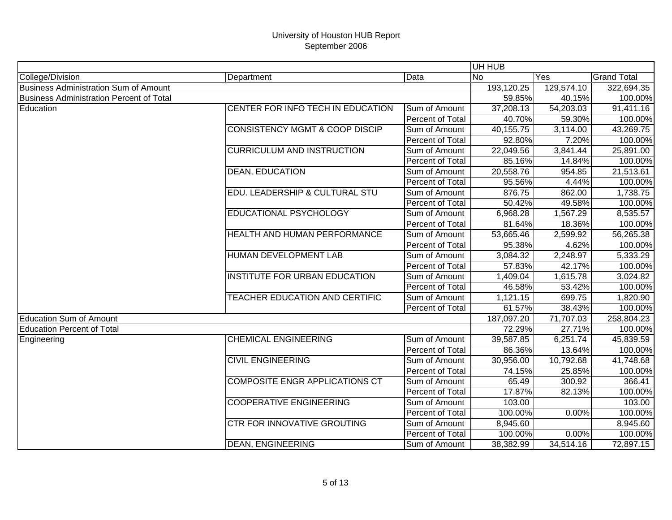|                                                 |                                           |                  | UH HUB     |                        |                    |
|-------------------------------------------------|-------------------------------------------|------------------|------------|------------------------|--------------------|
| College/Division                                | Department                                | Data             | <b>No</b>  | Yes                    | <b>Grand Total</b> |
| <b>Business Administration Sum of Amount</b>    |                                           |                  | 193,120.25 | 129,574.10             | 322,694.35         |
| <b>Business Administration Percent of Total</b> |                                           |                  | 59.85%     | 40.15%                 | 100.00%            |
| Education                                       | CENTER FOR INFO TECH IN EDUCATION         | Sum of Amount    | 37,208.13  | $\overline{54,203.03}$ | 91,411.16          |
|                                                 |                                           | Percent of Total | 40.70%     | 59.30%                 | 100.00%            |
|                                                 | <b>CONSISTENCY MGMT &amp; COOP DISCIP</b> | Sum of Amount    | 40,155.75  | $\overline{3,}114.00$  | 43,269.75          |
|                                                 |                                           | Percent of Total | 92.80%     | 7.20%                  | 100.00%            |
|                                                 | <b>CURRICULUM AND INSTRUCTION</b>         | Sum of Amount    | 22,049.56  | 3,841.44               | 25,891.00          |
|                                                 |                                           | Percent of Total | 85.16%     | 14.84%                 | 100.00%            |
|                                                 | <b>DEAN, EDUCATION</b>                    | Sum of Amount    | 20,558.76  | 954.85                 | 21,513.61          |
|                                                 |                                           | Percent of Total | 95.56%     | 4.44%                  | 100.00%            |
|                                                 | EDU. LEADERSHIP & CULTURAL STU            | Sum of Amount    | 876.75     | 862.00                 | 1,738.75           |
|                                                 |                                           | Percent of Total | 50.42%     | 49.58%                 | 100.00%            |
|                                                 | EDUCATIONAL PSYCHOLOGY                    | Sum of Amount    | 6,968.28   | 1,567.29               | 8,535.57           |
|                                                 |                                           | Percent of Total | 81.64%     | 18.36%                 | 100.00%            |
|                                                 | <b>HEALTH AND HUMAN PERFORMANCE</b>       | Sum of Amount    | 53,665.46  | 2,599.92               | 56,265.38          |
|                                                 |                                           | Percent of Total | 95.38%     | 4.62%                  | 100.00%            |
|                                                 | HUMAN DEVELOPMENT LAB                     | Sum of Amount    | 3,084.32   | 2,248.97               | 5,333.29           |
|                                                 |                                           | Percent of Total | 57.83%     | 42.17%                 | 100.00%            |
|                                                 | <b>INSTITUTE FOR URBAN EDUCATION</b>      | Sum of Amount    | 1,409.04   | 1,615.78               | 3,024.82           |
|                                                 |                                           | Percent of Total | 46.58%     | 53.42%                 | 100.00%            |
|                                                 | TEACHER EDUCATION AND CERTIFIC            | Sum of Amount    | 1,121.15   | 699.75                 | 1,820.90           |
|                                                 |                                           | Percent of Total | 61.57%     | 38.43%                 | 100.00%            |
| <b>Education Sum of Amount</b>                  |                                           |                  | 187,097.20 | 71,707.03              | 258,804.23         |
| <b>Education Percent of Total</b>               |                                           |                  | 72.29%     | 27.71%                 | 100.00%            |
| Engineering                                     | <b>CHEMICAL ENGINEERING</b>               | Sum of Amount    | 39,587.85  | 6,251.74               | 45,839.59          |
|                                                 |                                           | Percent of Total | 86.36%     | 13.64%                 | 100.00%            |
|                                                 | <b>CIVIL ENGINEERING</b>                  | Sum of Amount    | 30,956.00  | 10,792.68              | 41,748.68          |
|                                                 |                                           | Percent of Total | 74.15%     | 25.85%                 | 100.00%            |
|                                                 | <b>COMPOSITE ENGR APPLICATIONS CT</b>     | Sum of Amount    | 65.49      | 300.92                 | 366.41             |
|                                                 |                                           | Percent of Total | 17.87%     | 82.13%                 | 100.00%            |
|                                                 | <b>COOPERATIVE ENGINEERING</b>            | Sum of Amount    | 103.00     |                        | 103.00             |
|                                                 |                                           | Percent of Total | 100.00%    | 0.00%                  | 100.00%            |
|                                                 | <b>CTR FOR INNOVATIVE GROUTING</b>        | Sum of Amount    | 8,945.60   |                        | 8,945.60           |
|                                                 |                                           | Percent of Total | 100.00%    | 0.00%                  | 100.00%            |
|                                                 | <b>DEAN, ENGINEERING</b>                  | Sum of Amount    | 38,382.99  | 34,514.16              | 72,897.15          |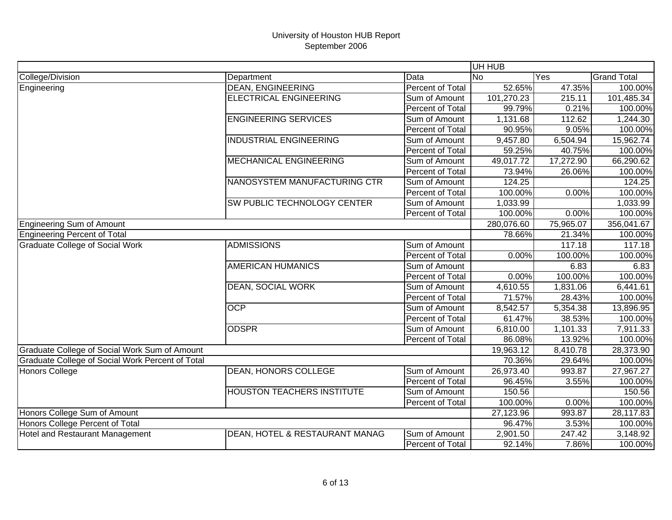|                                                  |                                   |                  | UH HUB     |           |                    |
|--------------------------------------------------|-----------------------------------|------------------|------------|-----------|--------------------|
| College/Division                                 | Department                        | Data             | <b>No</b>  | Yes       | <b>Grand Total</b> |
| Engineering                                      | <b>DEAN, ENGINEERING</b>          | Percent of Total | 52.65%     | 47.35%    | 100.00%            |
|                                                  | <b>ELECTRICAL ENGINEERING</b>     | Sum of Amount    | 101,270.23 | 215.11    | 101,485.34         |
|                                                  |                                   | Percent of Total | 99.79%     | 0.21%     | 100.00%            |
|                                                  | <b>ENGINEERING SERVICES</b>       | Sum of Amount    | 1,131.68   | 112.62    | 1,244.30           |
|                                                  |                                   | Percent of Total | 90.95%     | 9.05%     | 100.00%            |
|                                                  | <b>INDUSTRIAL ENGINEERING</b>     | Sum of Amount    | 9,457.80   | 6,504.94  | 15,962.74          |
|                                                  |                                   | Percent of Total | 59.25%     | 40.75%    | 100.00%            |
|                                                  | <b>MECHANICAL ENGINEERING</b>     | Sum of Amount    | 49,017.72  | 17,272.90 | 66,290.62          |
|                                                  |                                   | Percent of Total | 73.94%     | 26.06%    | 100.00%            |
|                                                  | NANOSYSTEM MANUFACTURING CTR      | Sum of Amount    | 124.25     |           | 124.25             |
|                                                  |                                   | Percent of Total | 100.00%    | 0.00%     | 100.00%            |
|                                                  | SW PUBLIC TECHNOLOGY CENTER       | Sum of Amount    | 1,033.99   |           | 1,033.99           |
|                                                  |                                   | Percent of Total | 100.00%    | 0.00%     | 100.00%            |
| <b>Engineering Sum of Amount</b>                 |                                   |                  | 280,076.60 | 75,965.07 | 356,041.67         |
| <b>Engineering Percent of Total</b>              |                                   |                  | 78.66%     | 21.34%    | 100.00%            |
| <b>Graduate College of Social Work</b>           | <b>ADMISSIONS</b>                 | Sum of Amount    |            | 117.18    | 117.18             |
|                                                  |                                   | Percent of Total | 0.00%      | 100.00%   | 100.00%            |
|                                                  | <b>AMERICAN HUMANICS</b>          | Sum of Amount    |            | 6.83      | 6.83               |
|                                                  |                                   | Percent of Total | 0.00%      | 100.00%   | 100.00%            |
|                                                  | <b>DEAN, SOCIAL WORK</b>          | Sum of Amount    | 4,610.55   | 1,831.06  | 6,441.61           |
|                                                  |                                   | Percent of Total | 71.57%     | 28.43%    | 100.00%            |
|                                                  | <b>OCP</b>                        | Sum of Amount    | 8,542.57   | 5,354.38  | 13,896.95          |
|                                                  |                                   | Percent of Total | 61.47%     | 38.53%    | 100.00%            |
|                                                  | <b>ODSPR</b>                      | Sum of Amount    | 6,810.00   | 1,101.33  | 7,911.33           |
|                                                  |                                   | Percent of Total | 86.08%     | 13.92%    | 100.00%            |
| Graduate College of Social Work Sum of Amount    |                                   |                  | 19,963.12  | 8,410.78  | 28,373.90          |
| Graduate College of Social Work Percent of Total |                                   |                  | 70.36%     | 29.64%    | 100.00%            |
| <b>Honors College</b>                            | <b>DEAN, HONORS COLLEGE</b>       | Sum of Amount    | 26,973.40  | 993.87    | 27,967.27          |
|                                                  |                                   | Percent of Total | 96.45%     | 3.55%     | 100.00%            |
|                                                  | <b>HOUSTON TEACHERS INSTITUTE</b> | Sum of Amount    | 150.56     |           | 150.56             |
|                                                  |                                   | Percent of Total | 100.00%    | 0.00%     | 100.00%            |
| Honors College Sum of Amount                     |                                   |                  | 27,123.96  | 993.87    | 28,117.83          |
| Honors College Percent of Total                  |                                   |                  | 96.47%     | 3.53%     | 100.00%            |
| Hotel and Restaurant Management                  | DEAN, HOTEL & RESTAURANT MANAG    | Sum of Amount    | 2,901.50   | 247.42    | 3,148.92           |
|                                                  |                                   | Percent of Total | 92.14%     | 7.86%     | 100.00%            |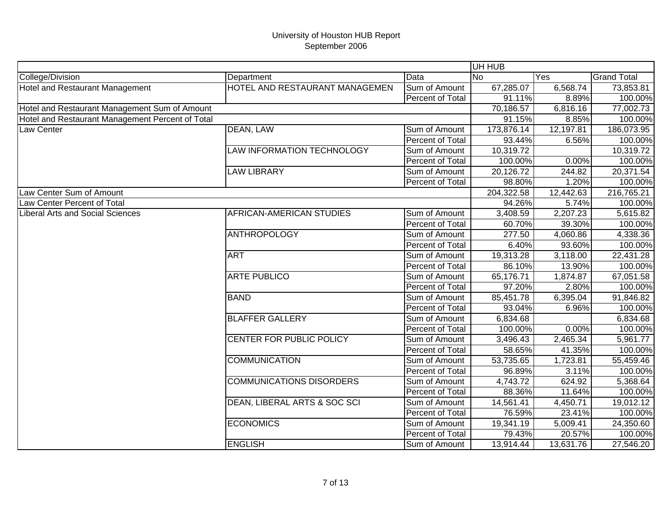|                                                  |                                 |                  | UH HUB     |           |                    |
|--------------------------------------------------|---------------------------------|------------------|------------|-----------|--------------------|
| College/Division                                 | Department                      | Data             | <b>No</b>  | Yes       | <b>Grand Total</b> |
| <b>Hotel and Restaurant Management</b>           | HOTEL AND RESTAURANT MANAGEMEN  | Sum of Amount    | 67,285.07  | 6,568.74  | 73,853.81          |
|                                                  |                                 | Percent of Total | 91.11%     | 8.89%     | 100.00%            |
| Hotel and Restaurant Management Sum of Amount    |                                 |                  | 70,186.57  | 6,816.16  | 77,002.73          |
| Hotel and Restaurant Management Percent of Total |                                 |                  | 91.15%     | 8.85%     | 100.00%            |
| Law Center                                       | DEAN, LAW                       | Sum of Amount    | 173,876.14 | 12,197.81 | 186,073.95         |
|                                                  |                                 | Percent of Total | 93.44%     | 6.56%     | 100.00%            |
|                                                  | LAW INFORMATION TECHNOLOGY      | Sum of Amount    | 10,319.72  |           | 10,319.72          |
|                                                  |                                 | Percent of Total | 100.00%    | 0.00%     | 100.00%            |
|                                                  | <b>LAW LIBRARY</b>              | Sum of Amount    | 20,126.72  | 244.82    | 20,371.54          |
|                                                  |                                 | Percent of Total | 98.80%     | 1.20%     | 100.00%            |
| Law Center Sum of Amount                         |                                 |                  | 204,322.58 | 12,442.63 | 216,765.21         |
| Law Center Percent of Total                      |                                 |                  | 94.26%     | 5.74%     | 100.00%            |
| Liberal Arts and Social Sciences                 | AFRICAN-AMERICAN STUDIES        | Sum of Amount    | 3,408.59   | 2,207.23  | 5,615.82           |
|                                                  |                                 | Percent of Total | 60.70%     | 39.30%    | 100.00%            |
|                                                  | <b>ANTHROPOLOGY</b>             | Sum of Amount    | 277.50     | 4,060.86  | 4,338.36           |
|                                                  |                                 | Percent of Total | 6.40%      | 93.60%    | 100.00%            |
|                                                  | <b>ART</b>                      | Sum of Amount    | 19,313.28  | 3,118.00  | 22,431.28          |
|                                                  |                                 | Percent of Total | 86.10%     | 13.90%    | 100.00%            |
|                                                  | <b>ARTE PUBLICO</b>             | Sum of Amount    | 65,176.71  | 1,874.87  | 67,051.58          |
|                                                  |                                 | Percent of Total | 97.20%     | 2.80%     | 100.00%            |
|                                                  | <b>BAND</b>                     | Sum of Amount    | 85,451.78  | 6,395.04  | 91,846.82          |
|                                                  |                                 | Percent of Total | 93.04%     | 6.96%     | 100.00%            |
|                                                  | <b>BLAFFER GALLERY</b>          | Sum of Amount    | 6,834.68   |           | 6,834.68           |
|                                                  |                                 | Percent of Total | 100.00%    | 0.00%     | 100.00%            |
|                                                  | CENTER FOR PUBLIC POLICY        | Sum of Amount    | 3,496.43   | 2,465.34  | 5,961.77           |
|                                                  |                                 | Percent of Total | 58.65%     | 41.35%    | 100.00%            |
|                                                  | <b>COMMUNICATION</b>            | Sum of Amount    | 53,735.65  | 1,723.81  | 55,459.46          |
|                                                  |                                 | Percent of Total | 96.89%     | 3.11%     | 100.00%            |
|                                                  | <b>COMMUNICATIONS DISORDERS</b> | Sum of Amount    | 4,743.72   | 624.92    | 5,368.64           |
|                                                  |                                 | Percent of Total | 88.36%     | 11.64%    | 100.00%            |
|                                                  | DEAN, LIBERAL ARTS & SOC SCI    | Sum of Amount    | 14,561.41  | 4,450.71  | 19,012.12          |
|                                                  |                                 | Percent of Total | 76.59%     | 23.41%    | 100.00%            |
|                                                  | <b>ECONOMICS</b>                | Sum of Amount    | 19,341.19  | 5,009.41  | 24,350.60          |
|                                                  |                                 | Percent of Total | 79.43%     | 20.57%    | 100.00%            |
|                                                  | <b>ENGLISH</b>                  | Sum of Amount    | 13,914.44  | 13,631.76 | 27,546.20          |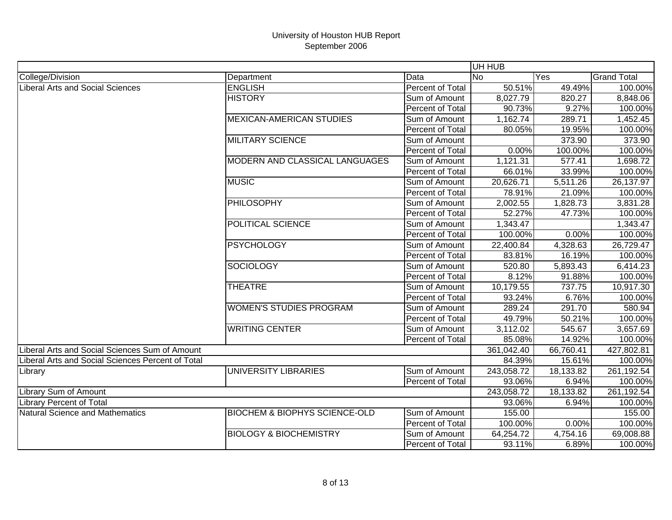|                                                   |                                          |                         | UH HUB     |           |                    |
|---------------------------------------------------|------------------------------------------|-------------------------|------------|-----------|--------------------|
| College/Division                                  | Department                               | Data                    | No.        | Yes       | <b>Grand Total</b> |
| <b>Liberal Arts and Social Sciences</b>           | <b>ENGLISH</b>                           | <b>Percent of Total</b> | 50.51%     | 49.49%    | 100.00%            |
|                                                   | <b>HISTORY</b>                           | Sum of Amount           | 8,027.79   | 820.27    | 8,848.06           |
|                                                   |                                          | Percent of Total        | 90.73%     | 9.27%     | 100.00%            |
|                                                   | <b>MEXICAN-AMERICAN STUDIES</b>          | Sum of Amount           | 1,162.74   | 289.71    | 1,452.45           |
|                                                   |                                          | Percent of Total        | 80.05%     | 19.95%    | 100.00%            |
|                                                   | <b>MILITARY SCIENCE</b>                  | Sum of Amount           |            | 373.90    | 373.90             |
|                                                   |                                          | Percent of Total        | 0.00%      | 100.00%   | 100.00%            |
|                                                   | MODERN AND CLASSICAL LANGUAGES           | Sum of Amount           | 1,121.31   | 577.41    | 1,698.72           |
|                                                   |                                          | Percent of Total        | 66.01%     | 33.99%    | 100.00%            |
|                                                   | <b>MUSIC</b>                             | Sum of Amount           | 20,626.71  | 5,511.26  | 26,137.97          |
|                                                   |                                          | Percent of Total        | 78.91%     | 21.09%    | 100.00%            |
|                                                   | <b>PHILOSOPHY</b>                        | Sum of Amount           | 2,002.55   | 1,828.73  | 3,831.28           |
|                                                   |                                          | Percent of Total        | 52.27%     | 47.73%    | 100.00%            |
|                                                   | POLITICAL SCIENCE                        | Sum of Amount           | 1,343.47   |           | 1,343.47           |
|                                                   |                                          | Percent of Total        | 100.00%    | 0.00%     | 100.00%            |
|                                                   | <b>PSYCHOLOGY</b>                        | Sum of Amount           | 22,400.84  | 4,328.63  | 26,729.47          |
|                                                   |                                          | Percent of Total        | 83.81%     | 16.19%    | 100.00%            |
|                                                   | <b>SOCIOLOGY</b>                         | Sum of Amount           | 520.80     | 5,893.43  | 6,414.23           |
|                                                   |                                          | Percent of Total        | 8.12%      | 91.88%    | 100.00%            |
|                                                   | <b>THEATRE</b>                           | Sum of Amount           | 10,179.55  | 737.75    | 10,917.30          |
|                                                   |                                          | Percent of Total        | 93.24%     | 6.76%     | 100.00%            |
|                                                   | <b>WOMEN'S STUDIES PROGRAM</b>           | Sum of Amount           | 289.24     | 291.70    | 580.94             |
|                                                   |                                          | Percent of Total        | 49.79%     | 50.21%    | 100.00%            |
|                                                   | <b>WRITING CENTER</b>                    | Sum of Amount           | 3,112.02   | 545.67    | 3,657.69           |
|                                                   |                                          | Percent of Total        | 85.08%     | 14.92%    | 100.00%            |
| Liberal Arts and Social Sciences Sum of Amount    |                                          |                         | 361,042.40 | 66,760.41 | 427,802.81         |
| Liberal Arts and Social Sciences Percent of Total |                                          |                         | 84.39%     | 15.61%    | 100.00%            |
| Library                                           | UNIVERSITY LIBRARIES                     | Sum of Amount           | 243,058.72 | 18,133.82 | 261,192.54         |
|                                                   |                                          | Percent of Total        | 93.06%     | 6.94%     | 100.00%            |
| <b>Library Sum of Amount</b>                      |                                          |                         | 243,058.72 | 18,133.82 | 261,192.54         |
| <b>Library Percent of Total</b>                   |                                          |                         | 93.06%     | 6.94%     | 100.00%            |
| Natural Science and Mathematics                   | <b>BIOCHEM &amp; BIOPHYS SCIENCE-OLD</b> | Sum of Amount           | 155.00     |           | 155.00             |
|                                                   |                                          | Percent of Total        | 100.00%    | 0.00%     | 100.00%            |
|                                                   | <b>BIOLOGY &amp; BIOCHEMISTRY</b>        | Sum of Amount           | 64,254.72  | 4,754.16  | 69,008.88          |
|                                                   |                                          | Percent of Total        | 93.11%     | 6.89%     | 100.00%            |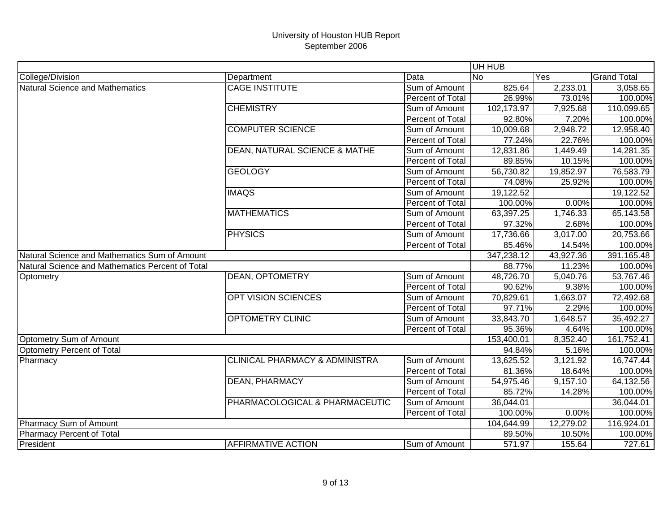|                                                  |                                           |                         | UH HUB     |           |                    |
|--------------------------------------------------|-------------------------------------------|-------------------------|------------|-----------|--------------------|
| College/Division                                 | Department                                | Data                    | <b>No</b>  | Yes       | <b>Grand Total</b> |
| <b>Natural Science and Mathematics</b>           | <b>CAGE INSTITUTE</b>                     | Sum of Amount           | 825.64     | 2,233.01  | 3,058.65           |
|                                                  |                                           | Percent of Total        | 26.99%     | 73.01%    | 100.00%            |
|                                                  | <b>CHEMISTRY</b>                          | Sum of Amount           | 102,173.97 | 7,925.68  | 110,099.65         |
|                                                  |                                           | Percent of Total        | 92.80%     | 7.20%     | 100.00%            |
|                                                  | <b>COMPUTER SCIENCE</b>                   | Sum of Amount           | 10,009.68  | 2,948.72  | 12,958.40          |
|                                                  |                                           | Percent of Total        | 77.24%     | 22.76%    | 100.00%            |
|                                                  | <b>DEAN, NATURAL SCIENCE &amp; MATHE</b>  | Sum of Amount           | 12,831.86  | 1,449.49  | 14,281.35          |
|                                                  |                                           | Percent of Total        | 89.85%     | 10.15%    | 100.00%            |
|                                                  | <b>GEOLOGY</b>                            | Sum of Amount           | 56,730.82  | 19,852.97 | 76,583.79          |
|                                                  |                                           | Percent of Total        | 74.08%     | 25.92%    | 100.00%            |
|                                                  | <b>IMAQS</b>                              | Sum of Amount           | 19,122.52  |           | 19,122.52          |
|                                                  |                                           | Percent of Total        | 100.00%    | 0.00%     | 100.00%            |
|                                                  | <b>MATHEMATICS</b>                        | Sum of Amount           | 63,397.25  | 1,746.33  | 65,143.58          |
|                                                  |                                           | Percent of Total        | 97.32%     | 2.68%     | 100.00%            |
|                                                  | <b>PHYSICS</b>                            | Sum of Amount           | 17,736.66  | 3,017.00  | 20,753.66          |
|                                                  |                                           | Percent of Total        | 85.46%     | 14.54%    | 100.00%            |
| Natural Science and Mathematics Sum of Amount    |                                           |                         | 347,238.12 | 43,927.36 | 391,165.48         |
| Natural Science and Mathematics Percent of Total |                                           |                         | 88.77%     | 11.23%    | 100.00%            |
| Optometry                                        | <b>DEAN, OPTOMETRY</b>                    | Sum of Amount           | 48,726.70  | 5,040.76  | 53,767.46          |
|                                                  |                                           | Percent of Total        | 90.62%     | 9.38%     | 100.00%            |
|                                                  | <b>OPT VISION SCIENCES</b>                | Sum of Amount           | 70,829.61  | 1,663.07  | 72,492.68          |
|                                                  |                                           | Percent of Total        | 97.71%     | 2.29%     | 100.00%            |
|                                                  | <b>OPTOMETRY CLINIC</b>                   | Sum of Amount           | 33,843.70  | 1,648.57  | 35,492.27          |
|                                                  |                                           | <b>Percent of Total</b> | 95.36%     | 4.64%     | 100.00%            |
| Optometry Sum of Amount                          |                                           |                         | 153,400.01 | 8,352.40  | 161,752.41         |
| Optometry Percent of Total                       |                                           |                         | 94.84%     | 5.16%     | 100.00%            |
| Pharmacy                                         | <b>CLINICAL PHARMACY &amp; ADMINISTRA</b> | Sum of Amount           | 13,625.52  | 3,121.92  | 16,747.44          |
|                                                  |                                           | Percent of Total        | 81.36%     | 18.64%    | 100.00%            |
|                                                  | <b>DEAN, PHARMACY</b>                     | Sum of Amount           | 54,975.46  | 9,157.10  | 64,132.56          |
|                                                  |                                           | Percent of Total        | 85.72%     | 14.28%    | 100.00%            |
|                                                  | PHARMACOLOGICAL & PHARMACEUTIC            | Sum of Amount           | 36,044.01  |           | 36,044.01          |
|                                                  |                                           | <b>Percent of Total</b> | 100.00%    | 0.00%     | 100.00%            |
| Pharmacy Sum of Amount                           |                                           |                         | 104,644.99 | 12,279.02 | 116,924.01         |
| <b>Pharmacy Percent of Total</b>                 |                                           |                         | 89.50%     | 10.50%    | 100.00%            |
| President                                        | <b>AFFIRMATIVE ACTION</b>                 | Sum of Amount           | 571.97     | 155.64    | 727.61             |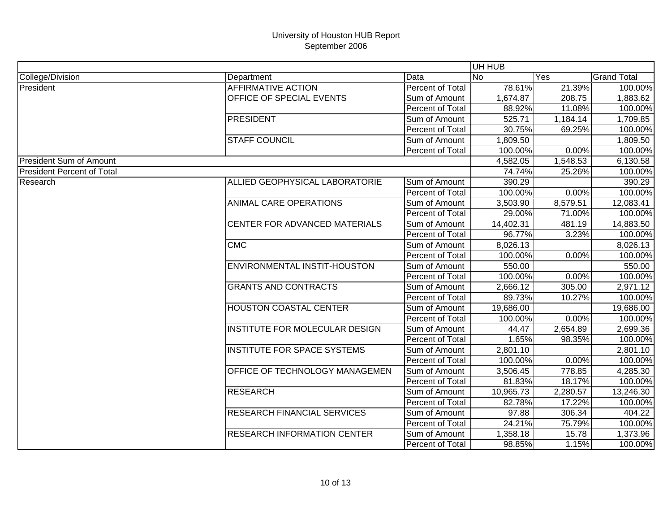|                                   |                                    |                         | UH HUB    |          |                    |
|-----------------------------------|------------------------------------|-------------------------|-----------|----------|--------------------|
| College/Division                  | Department                         | Data                    | <b>No</b> | Yes      | <b>Grand Total</b> |
| President                         | <b>AFFIRMATIVE ACTION</b>          | Percent of Total        | 78.61%    | 21.39%   | 100.00%            |
|                                   | OFFICE OF SPECIAL EVENTS           | Sum of Amount           | 1,674.87  | 208.75   | 1,883.62           |
|                                   |                                    | Percent of Total        | 88.92%    | 11.08%   | 100.00%            |
|                                   | <b>PRESIDENT</b>                   | Sum of Amount           | 525.71    | 1,184.14 | 1,709.85           |
|                                   |                                    | Percent of Total        | 30.75%    | 69.25%   | 100.00%            |
|                                   | <b>STAFF COUNCIL</b>               | Sum of Amount           | 1,809.50  |          | 1,809.50           |
|                                   |                                    | Percent of Total        | 100.00%   | 0.00%    | 100.00%            |
| <b>President Sum of Amount</b>    |                                    |                         | 4,582.05  | 1,548.53 | 6,130.58           |
| <b>President Percent of Total</b> |                                    |                         | 74.74%    | 25.26%   | 100.00%            |
| Research                          | ALLIED GEOPHYSICAL LABORATORIE     | Sum of Amount           | 390.29    |          | 390.29             |
|                                   |                                    | Percent of Total        | 100.00%   | 0.00%    | 100.00%            |
|                                   | <b>ANIMAL CARE OPERATIONS</b>      | Sum of Amount           | 3,503.90  | 8,579.51 | 12,083.41          |
|                                   |                                    | Percent of Total        | 29.00%    | 71.00%   | 100.00%            |
|                                   | CENTER FOR ADVANCED MATERIALS      | Sum of Amount           | 14,402.31 | 481.19   | 14,883.50          |
|                                   |                                    | Percent of Total        | 96.77%    | 3.23%    | 100.00%            |
|                                   | CMC                                | Sum of Amount           | 8,026.13  |          | 8,026.13           |
|                                   |                                    | Percent of Total        | 100.00%   | 0.00%    | 100.00%            |
|                                   | ENVIRONMENTAL INSTIT-HOUSTON       | Sum of Amount           | 550.00    |          | 550.00             |
|                                   |                                    | Percent of Total        | 100.00%   | 0.00%    | 100.00%            |
|                                   | <b>GRANTS AND CONTRACTS</b>        | Sum of Amount           | 2,666.12  | 305.00   | 2,971.12           |
|                                   |                                    | Percent of Total        | 89.73%    | 10.27%   | 100.00%            |
|                                   | <b>HOUSTON COASTAL CENTER</b>      | Sum of Amount           | 19,686.00 |          | 19,686.00          |
|                                   |                                    | Percent of Total        | 100.00%   | 0.00%    | 100.00%            |
|                                   | INSTITUTE FOR MOLECULAR DESIGN     | Sum of Amount           | 44.47     | 2,654.89 | 2,699.36           |
|                                   |                                    | Percent of Total        | 1.65%     | 98.35%   | 100.00%            |
|                                   | <b>INSTITUTE FOR SPACE SYSTEMS</b> | Sum of Amount           | 2,801.10  |          | 2,801.10           |
|                                   |                                    | <b>Percent of Total</b> | 100.00%   | 0.00%    | 100.00%            |
|                                   | OFFICE OF TECHNOLOGY MANAGEMEN     | Sum of Amount           | 3,506.45  | 778.85   | 4,285.30           |
|                                   |                                    | <b>Percent of Total</b> | 81.83%    | 18.17%   | 100.00%            |
|                                   | <b>RESEARCH</b>                    | Sum of Amount           | 10,965.73 | 2,280.57 | 13,246.30          |
|                                   |                                    | Percent of Total        | 82.78%    | 17.22%   | 100.00%            |
|                                   | <b>RESEARCH FINANCIAL SERVICES</b> | Sum of Amount           | 97.88     | 306.34   | 404.22             |
|                                   |                                    | Percent of Total        | 24.21%    | 75.79%   | 100.00%            |
|                                   | <b>RESEARCH INFORMATION CENTER</b> | Sum of Amount           | 1,358.18  | 15.78    | 1,373.96           |
|                                   |                                    | Percent of Total        | 98.85%    | 1.15%    | 100.00%            |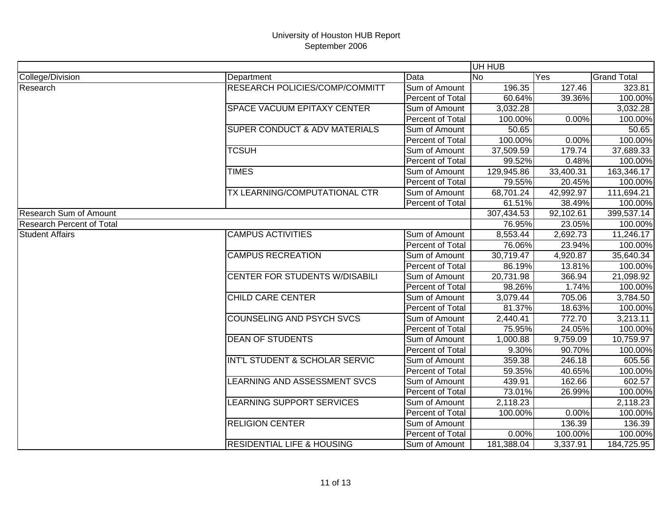|                                  |                                          |                  | UH HUB     |           |                    |
|----------------------------------|------------------------------------------|------------------|------------|-----------|--------------------|
| College/Division                 | Department                               | Data             | <b>No</b>  | Yes       | <b>Grand Total</b> |
| Research                         | <b>RESEARCH POLICIES/COMP/COMMITT</b>    | Sum of Amount    | 196.35     | 127.46    | 323.81             |
|                                  |                                          | Percent of Total | 60.64%     | 39.36%    | 100.00%            |
|                                  | <b>SPACE VACUUM EPITAXY CENTER</b>       | Sum of Amount    | 3,032.28   |           | 3,032.28           |
|                                  |                                          | Percent of Total | 100.00%    | 0.00%     | 100.00%            |
|                                  | <b>SUPER CONDUCT &amp; ADV MATERIALS</b> | Sum of Amount    | 50.65      |           | 50.65              |
|                                  |                                          | Percent of Total | 100.00%    | 0.00%     | 100.00%            |
|                                  | <b>TCSUH</b>                             | Sum of Amount    | 37,509.59  | 179.74    | 37,689.33          |
|                                  |                                          | Percent of Total | 99.52%     | 0.48%     | 100.00%            |
|                                  | <b>TIMES</b>                             | Sum of Amount    | 129,945.86 | 33,400.31 | 163,346.17         |
|                                  |                                          | Percent of Total | 79.55%     | 20.45%    | 100.00%            |
|                                  | TX LEARNING/COMPUTATIONAL CTR            | Sum of Amount    | 68,701.24  | 42,992.97 | 111,694.21         |
|                                  |                                          | Percent of Total | 61.51%     | 38.49%    | 100.00%            |
| <b>Research Sum of Amount</b>    |                                          |                  | 307,434.53 | 92,102.61 | 399,537.14         |
| <b>Research Percent of Total</b> |                                          |                  | 76.95%     | 23.05%    | 100.00%            |
| <b>Student Affairs</b>           | <b>CAMPUS ACTIVITIES</b>                 | Sum of Amount    | 8,553.44   | 2,692.73  | 11,246.17          |
|                                  |                                          | Percent of Total | 76.06%     | 23.94%    | 100.00%            |
|                                  | <b>CAMPUS RECREATION</b>                 | Sum of Amount    | 30,719.47  | 4,920.87  | 35,640.34          |
|                                  |                                          | Percent of Total | 86.19%     | 13.81%    | 100.00%            |
|                                  | <b>CENTER FOR STUDENTS W/DISABILI</b>    | Sum of Amount    | 20,731.98  | 366.94    | 21,098.92          |
|                                  |                                          | Percent of Total | 98.26%     | 1.74%     | 100.00%            |
|                                  | CHILD CARE CENTER                        | Sum of Amount    | 3,079.44   | 705.06    | 3,784.50           |
|                                  |                                          | Percent of Total | 81.37%     | 18.63%    | 100.00%            |
|                                  | COUNSELING AND PSYCH SVCS                | Sum of Amount    | 2,440.41   | 772.70    | 3,213.11           |
|                                  |                                          | Percent of Total | 75.95%     | 24.05%    | 100.00%            |
|                                  | <b>DEAN OF STUDENTS</b>                  | Sum of Amount    | 1,000.88   | 9,759.09  | 10,759.97          |
|                                  |                                          | Percent of Total | 9.30%      | 90.70%    | 100.00%            |
|                                  | INT'L STUDENT & SCHOLAR SERVIC           | Sum of Amount    | 359.38     | 246.18    | 605.56             |
|                                  |                                          | Percent of Total | 59.35%     | 40.65%    | 100.00%            |
|                                  | LEARNING AND ASSESSMENT SVCS             | Sum of Amount    | 439.91     | 162.66    | 602.57             |
|                                  |                                          | Percent of Total | 73.01%     | 26.99%    | 100.00%            |
|                                  | LEARNING SUPPORT SERVICES                | Sum of Amount    | 2,118.23   |           | 2,118.23           |
|                                  |                                          | Percent of Total | 100.00%    | 0.00%     | 100.00%            |
|                                  | <b>RELIGION CENTER</b>                   | Sum of Amount    |            | 136.39    | 136.39             |
|                                  |                                          | Percent of Total | 0.00%      | 100.00%   | 100.00%            |
|                                  | <b>RESIDENTIAL LIFE &amp; HOUSING</b>    | Sum of Amount    | 181,388.04 | 3,337.91  | 184,725.95         |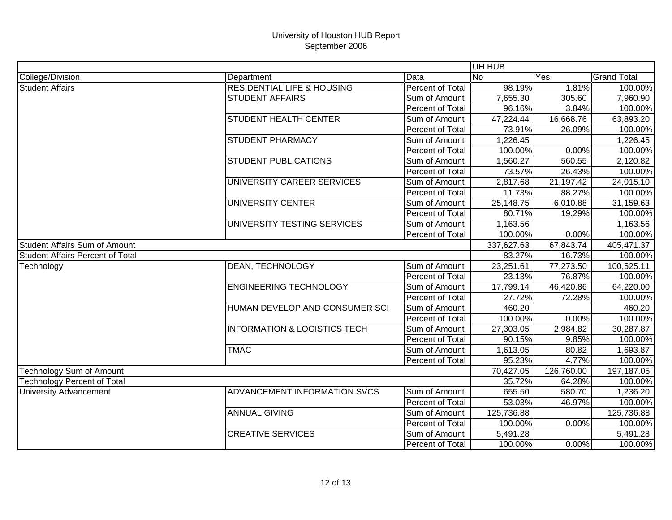|                                         |                                         |                         | UH HUB     |            |                    |
|-----------------------------------------|-----------------------------------------|-------------------------|------------|------------|--------------------|
| College/Division                        | Department                              | Data                    | <b>No</b>  | Yes        | <b>Grand Total</b> |
| <b>Student Affairs</b>                  | <b>RESIDENTIAL LIFE &amp; HOUSING</b>   | <b>Percent of Total</b> | 98.19%     | $1.81\%$   | 100.00%            |
|                                         | <b>STUDENT AFFAIRS</b>                  | Sum of Amount           | 7,655.30   | 305.60     | 7,960.90           |
|                                         |                                         | Percent of Total        | 96.16%     | 3.84%      | 100.00%            |
|                                         | <b>STUDENT HEALTH CENTER</b>            | Sum of Amount           | 47,224.44  | 16,668.76  | 63,893.20          |
|                                         |                                         | Percent of Total        | 73.91%     | 26.09%     | 100.00%            |
|                                         | <b>STUDENT PHARMACY</b>                 | Sum of Amount           | 1,226.45   |            | 1,226.45           |
|                                         |                                         | Percent of Total        | 100.00%    | 0.00%      | 100.00%            |
|                                         | <b>STUDENT PUBLICATIONS</b>             | Sum of Amount           | 1,560.27   | 560.55     | 2,120.82           |
|                                         |                                         | Percent of Total        | 73.57%     | 26.43%     | 100.00%            |
|                                         | UNIVERSITY CAREER SERVICES              | Sum of Amount           | 2,817.68   | 21,197.42  | 24,015.10          |
|                                         |                                         | Percent of Total        | 11.73%     | 88.27%     | 100.00%            |
|                                         | UNIVERSITY CENTER                       | Sum of Amount           | 25,148.75  | 6,010.88   | 31,159.63          |
|                                         |                                         | Percent of Total        | 80.71%     | 19.29%     | 100.00%            |
|                                         | UNIVERSITY TESTING SERVICES             | Sum of Amount           | 1,163.56   |            | 1,163.56           |
|                                         |                                         | Percent of Total        | 100.00%    | 0.00%      | 100.00%            |
| <b>Student Affairs Sum of Amount</b>    |                                         |                         | 337,627.63 | 67,843.74  | 405,471.37         |
| <b>Student Affairs Percent of Total</b> |                                         |                         | 83.27%     | 16.73%     | 100.00%            |
| Technology                              | <b>DEAN, TECHNOLOGY</b>                 | Sum of Amount           | 23,251.61  | 77,273.50  | 100,525.11         |
|                                         |                                         | Percent of Total        | 23.13%     | 76.87%     | 100.00%            |
|                                         | <b>ENGINEERING TECHNOLOGY</b>           | Sum of Amount           | 17,799.14  | 46,420.86  | 64,220.00          |
|                                         |                                         | Percent of Total        | 27.72%     | 72.28%     | 100.00%            |
|                                         | HUMAN DEVELOP AND CONSUMER SCI          | Sum of Amount           | 460.20     |            | 460.20             |
|                                         |                                         | Percent of Total        | 100.00%    | 0.00%      | 100.00%            |
|                                         | <b>INFORMATION &amp; LOGISTICS TECH</b> | Sum of Amount           | 27,303.05  | 2,984.82   | 30,287.87          |
|                                         |                                         | Percent of Total        | 90.15%     | 9.85%      | 100.00%            |
|                                         | <b>TMAC</b>                             | Sum of Amount           | 1,613.05   | 80.82      | 1,693.87           |
|                                         |                                         | Percent of Total        | 95.23%     | 4.77%      | 100.00%            |
| <b>Technology Sum of Amount</b>         |                                         |                         | 70,427.05  | 126,760.00 | 197,187.05         |
| <b>Technology Percent of Total</b>      |                                         |                         | 35.72%     | 64.28%     | 100.00%            |
| <b>University Advancement</b>           | ADVANCEMENT INFORMATION SVCS            | Sum of Amount           | 655.50     | 580.70     | 1,236.20           |
|                                         |                                         | Percent of Total        | 53.03%     | 46.97%     | 100.00%            |
|                                         | <b>ANNUAL GIVING</b>                    | Sum of Amount           | 125,736.88 |            | 125,736.88         |
|                                         |                                         | Percent of Total        | 100.00%    | 0.00%      | 100.00%            |
|                                         | <b>CREATIVE SERVICES</b>                | Sum of Amount           | 5,491.28   |            | 5,491.28           |
|                                         |                                         | Percent of Total        | 100.00%    | 0.00%      | 100.00%            |